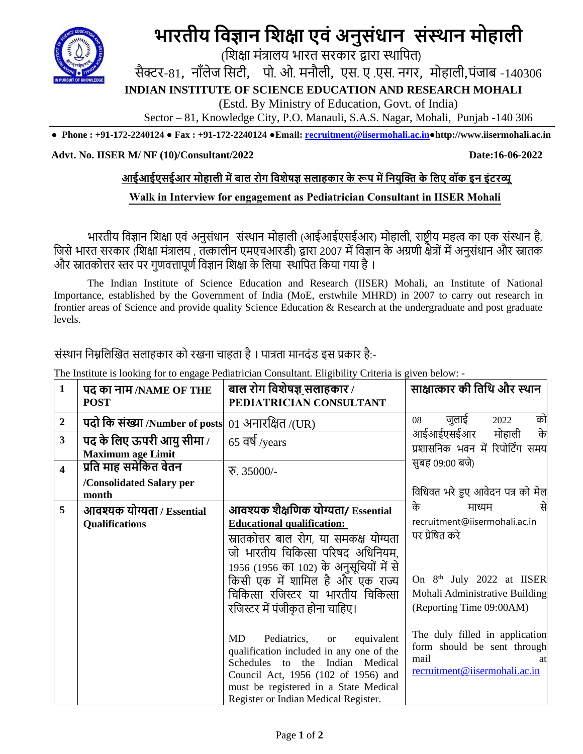

# **भारतीय विज्ञान विक्षा एिं अनुसंधान संस्थान मोहाली**

(शिक्षा मंत्रालय भारत सरकार द्वारा स्थाशित)

सैक्टर-81*,* नााँलेज शसटी*,* िो. ओ. मनौली*,* एस. ए .एस. नगर*,* मोहाली*,*िंजाब -140306

**INDIAN INSTITUTE OF SCIENCE EDUCATION AND RESEARCH MOHALI**

(Estd. By Ministry of Education, Govt. of India)

Sector – 81, Knowledge City, P.O. Manauli, S.A.S. Nagar, Mohali, Punjab -140 306

**● Phone : +91-172-2240124 ● Fax : +91-172-2240124 ●Email: [recruitment@iisermohali.ac.in](mailto:recruitment@iisermohali.ac.in)[●http://www.](http://www/)iisermohali.ac.in**

#### **Advt. No. IISER M/ NF (10)/Consultant/2022 Date:16-06-2022**

#### **आईआईएसईआर मोहाली मेंबाल रोग विशेषज्ञ सलाहकार के रूप मेंवियुक्ति के वलए िॉक इि इंटरव्यू**

#### **Walk in Interview for engagement as Pediatrician Consultant in IISER Mohali**

भारतीय विज्ञान विक्षा एिं अनुसंधान संस्थान मोहाली (आईआईएसईआर) मोहाली, राष्ट्रीय महत्व का एक संस्थान है, जिसे भारत सरकार (शिक्षा मंत्रालय , तत्कालीन एमएचआरडी) द्वारा 2007 में विज्ञान के अग्रणी क्षेत्रों में अनुसंधान और स्नातक और स्नातकोत्तर स्तर पर गुणवत्तापूर्ण विज्ञान शिक्षा के लिया स्थापित किया गया है।

The Indian Institute of Science Education and Research (IISER) Mohali, an Institute of National Importance, established by the Government of India (MoE, erstwhile MHRD) in 2007 to carry out research in frontier areas of Science and provide quality Science Education & Research at the undergraduate and post graduate levels.

# संस्थान निम्नलिखित सलाहकार को रखना चाहता है । पात्रता मानदंड इस प्रकार है:-

| $\mathbf{1}$            | पद का नाम /NAME OF THE<br><b>POST</b>                 | बाल रोग विशेषज्ञ_सलाहकार /<br>PEDIATRICIAN CONSULTANT                                                                                                                                                                                               | साक्षात्कार की तिथि और स्थान                                                                           |
|-------------------------|-------------------------------------------------------|-----------------------------------------------------------------------------------------------------------------------------------------------------------------------------------------------------------------------------------------------------|--------------------------------------------------------------------------------------------------------|
| $\boldsymbol{2}$        | पदो कि संख्या /Number of posts                        | $01 \overline{\phantom{a}}$ अनारक्षित /(UR)                                                                                                                                                                                                         | जुलाई<br>को<br>2022<br>08                                                                              |
| 3                       | पद के लिए ऊपरी आयु सीमा /<br><b>Maximum age Limit</b> | $65$ वर्ष /years                                                                                                                                                                                                                                    | आईआईएसईआर<br>के<br>मोहाली<br>प्रशासनिक भवन में रिपोर्टिंग समय                                          |
| $\overline{\mathbf{4}}$ | प्रति माह समेकित वेतन                                 | $\overline{6}$ . 35000/-                                                                                                                                                                                                                            | सुबह 09:00 बजे)                                                                                        |
|                         | /Consolidated Salary per<br>month                     |                                                                                                                                                                                                                                                     | विधिवत भरे हुए आवेदन पत्र को मेल                                                                       |
| 5                       | आवश्यक योग्यता / Essential                            | आवश्यक शैक्षणिक योग्यता/ Essential                                                                                                                                                                                                                  | के<br>माध्यम                                                                                           |
|                         | Qualifications                                        | <b>Educational qualification:</b>                                                                                                                                                                                                                   | recruitment@iisermohali.ac.in                                                                          |
|                         |                                                       | स्नातकोत्तर बाल रोग, या समकक्ष योग्यता<br>जो भारतीय चिकित्सा परिषद अधिनियम.<br>1956 (1956 का 102) के अनुसूचियों में से                                                                                                                              | पर प्रेषित करे                                                                                         |
|                         |                                                       | किसी एक में शामिल है और एक राज्य                                                                                                                                                                                                                    | On 8 <sup>th</sup> July 2022 at IISER                                                                  |
|                         |                                                       | चिकित्सा रजिस्टर या भारतीय चिकित्सा                                                                                                                                                                                                                 | Mohali Administrative Building                                                                         |
|                         |                                                       | रजिस्टर में पंजीकृत होना चाहिए।                                                                                                                                                                                                                     | (Reporting Time 09:00AM)                                                                               |
|                         |                                                       | Pediatrics,<br>MD<br>equivalent<br><b>or</b><br>qualification included in any one of the<br>Schedules to the Indian Medical<br>Council Act, 1956 (102 of 1956) and<br>must be registered in a State Medical<br>Register or Indian Medical Register. | The duly filled in application<br>form should be sent through<br>mail<br>recruitment@iisermohali.ac.in |

The Institute is looking for to engage Pediatrician Consultant. Eligibility Criteria is given below: -